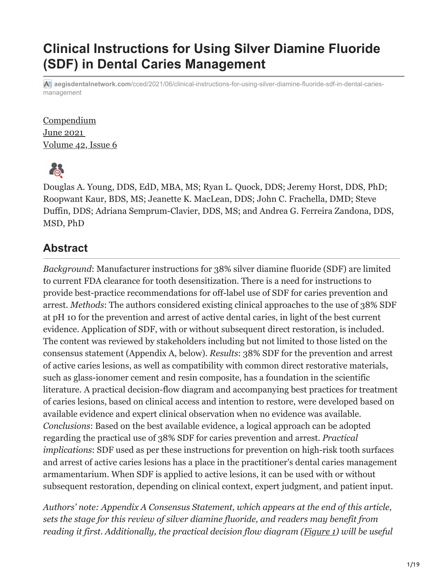# **Clinical Instructions for Using Silver Diamine Fluoride (SDF) in Dental Caries Management**

**aegisdentalnetwork.com**[/cced/2021/06/clinical-instructions-for-using-silver-diamine-fluoride-sdf-in-dental-caries](https://www.aegisdentalnetwork.com/cced/2021/06/clinical-instructions-for-using-silver-diamine-fluoride-sdf-in-dental-caries-management?fbclid=IwAR0toOGPQdvj4GomDw3yvnnXwL8FIw8Ez9mAVk-U1kUVRGRu7xG4Bh_hme8)management

**Compendium** June 2021 [Volume 42, Issue 6](https://www.aegisdentalnetwork.com/cced/2021/06/)



Douglas A. Young, DDS, EdD, MBA, MS; Ryan L. Quock, DDS; Jeremy Horst, DDS, PhD; Roopwant Kaur, BDS, MS; Jeanette K. MacLean, DDS; John C. Frachella, DMD; Steve Duffin, DDS; Adriana Semprum-Clavier, DDS, MS; and Andrea G. Ferreira Zandona, DDS, MSD, PhD

### **Abstract**

*Background*: Manufacturer instructions for 38% silver diamine fluoride (SDF) are limited to current FDA clearance for tooth desensitization. There is a need for instructions to provide best-practice recommendations for off-label use of SDF for caries prevention and arrest. *Methods*: The authors considered existing clinical approaches to the use of 38% SDF at pH 10 for the prevention and arrest of active dental caries, in light of the best current evidence. Application of SDF, with or without subsequent direct restoration, is included. The content was reviewed by stakeholders including but not limited to those listed on the consensus statement (Appendix A, below). *Results*: 38% SDF for the prevention and arrest of active caries lesions, as well as compatibility with common direct restorative materials, such as glass-ionomer cement and resin composite, has a foundation in the scientific literature. A practical decision-flow diagram and accompanying best practices for treatment of caries lesions, based on clinical access and intention to restore, were developed based on available evidence and expert clinical observation when no evidence was available. *Conclusions*: Based on the best available evidence, a logical approach can be adopted regarding the practical use of 38% SDF for caries prevention and arrest. *Practical implications*: SDF used as per these instructions for prevention on high-risk tooth surfaces and arrest of active caries lesions has a place in the practitioner's dental caries management armamentarium. When SDF is applied to active lesions, it can be used with or without subsequent restoration, depending on clinical context, expert judgment, and patient input.

*Authors' note: Appendix A Consensus Statement, which appears at the end of this article, sets the stage for this review of silver diamine fluoride, and readers may benefit from reading it first. Additionally, the practical decision flow diagram (Figure 1) will be useful*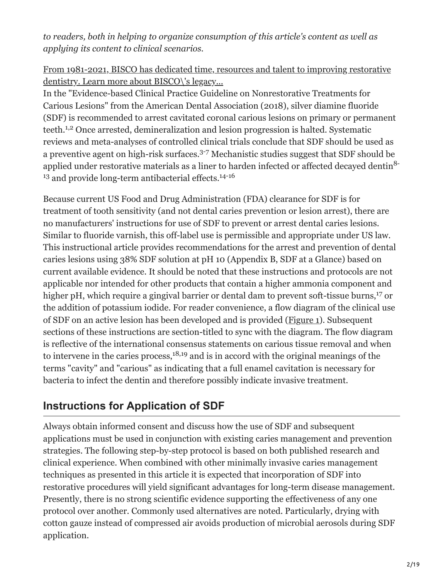*to readers, both in helping to organize consumption of this article's content as well as applying its content to clinical scenarios.*

[From 1981-2021, BISCO has dedicated time, resources and talent to improving restorative](https://www.aegisdentalnetwork.com/go/e34271) dentistry. Learn more about BISCO\'s legacy...

In the "Evidence-based Clinical Practice Guideline on Nonrestorative Treatments for Carious Lesions" from the American Dental Association (2018), silver diamine fluoride (SDF) is recommended to arrest cavitated coronal carious lesions on primary or permanent teeth.<sup>1,2</sup> Once arrested, demineralization and lesion progression is halted. Systematic reviews and meta-analyses of controlled clinical trials conclude that SDF should be used as a preventive agent on high-risk surfaces.<sup>3-7</sup> Mechanistic studies suggest that SDF should be applied under restorative materials as a liner to harden infected or affected decayed dentin<sup>8-</sup> <sup>13</sup> and provide long-term antibacterial effects.<sup>14-16</sup>

Because current US Food and Drug Administration (FDA) clearance for SDF is for treatment of tooth sensitivity (and not dental caries prevention or lesion arrest), there are no manufacturers' instructions for use of SDF to prevent or arrest dental caries lesions. Similar to fluoride varnish, this off-label use is permissible and appropriate under US law. This instructional article provides recommendations for the arrest and prevention of dental caries lesions using 38% SDF solution at pH 10 (Appendix B, SDF at a Glance) based on current available evidence. It should be noted that these instructions and protocols are not applicable nor intended for other products that contain a higher ammonia component and higher pH, which require a gingival barrier or dental dam to prevent soft-tissue burns,<sup>17</sup> or the addition of potassium iodide. For reader convenience, a flow diagram of the clinical use of SDF on an active lesion has been developed and is provided (Figure 1). Subsequent sections of these instructions are section-titled to sync with the diagram. The flow diagram is reflective of the international consensus statements on carious tissue removal and when to intervene in the caries process,  $18,19$  and is in accord with the original meanings of the terms "cavity" and "carious" as indicating that a full enamel cavitation is necessary for bacteria to infect the dentin and therefore possibly indicate invasive treatment.

### **Instructions for Application of SDF**

Always obtain informed consent and discuss how the use of SDF and subsequent applications must be used in conjunction with existing caries management and prevention strategies. The following step-by-step protocol is based on both published research and clinical experience. When combined with other minimally invasive caries management techniques as presented in this article it is expected that incorporation of SDF into restorative procedures will yield significant advantages for long-term disease management. Presently, there is no strong scientific evidence supporting the effectiveness of any one protocol over another. Commonly used alternatives are noted. Particularly, drying with cotton gauze instead of compressed air avoids production of microbial aerosols during SDF application.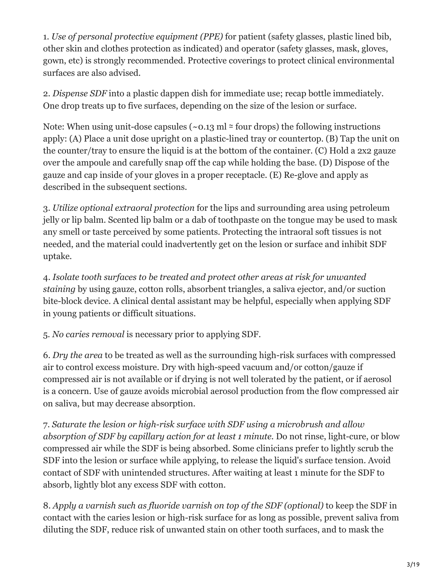1. *Use of personal protective equipment (PPE)* for patient (safety glasses, plastic lined bib, other skin and clothes protection as indicated) and operator (safety glasses, mask, gloves, gown, etc) is strongly recommended. Protective coverings to protect clinical environmental surfaces are also advised.

2. *Dispense SDF* into a plastic dappen dish for immediate use; recap bottle immediately. One drop treats up to five surfaces, depending on the size of the lesion or surface.

Note: When using unit-dose capsules ( $\sim$ 0.13 ml  $\approx$  four drops) the following instructions apply: (A) Place a unit dose upright on a plastic-lined tray or countertop. (B) Tap the unit on the counter/tray to ensure the liquid is at the bottom of the container. (C) Hold a 2x2 gauze over the ampoule and carefully snap off the cap while holding the base. (D) Dispose of the gauze and cap inside of your gloves in a proper receptacle. (E) Re-glove and apply as described in the subsequent sections.

3. *Utilize optional extraoral protection* for the lips and surrounding area using petroleum jelly or lip balm. Scented lip balm or a dab of toothpaste on the tongue may be used to mask any smell or taste perceived by some patients. Protecting the intraoral soft tissues is not needed, and the material could inadvertently get on the lesion or surface and inhibit SDF uptake.

4. *Isolate tooth surfaces to be treated and protect other areas at risk for unwanted staining* by using gauze, cotton rolls, absorbent triangles, a saliva ejector, and/or suction bite-block device. A clinical dental assistant may be helpful, especially when applying SDF in young patients or difficult situations.

5. *No caries removal* is necessary prior to applying SDF.

6. *Dry the area* to be treated as well as the surrounding high-risk surfaces with compressed air to control excess moisture. Dry with high-speed vacuum and/or cotton/gauze if compressed air is not available or if drying is not well tolerated by the patient, or if aerosol is a concern. Use of gauze avoids microbial aerosol production from the flow compressed air on saliva, but may decrease absorption.

7. *Saturate the lesion or high-risk surface with SDF using a microbrush and allow absorption of SDF by capillary action for at least 1 minute.* Do not rinse, light-cure, or blow compressed air while the SDF is being absorbed. Some clinicians prefer to lightly scrub the SDF into the lesion or surface while applying, to release the liquid's surface tension. Avoid contact of SDF with unintended structures. After waiting at least 1 minute for the SDF to absorb, lightly blot any excess SDF with cotton.

8. *Apply a varnish such as fluoride varnish on top of the SDF (optional)* to keep the SDF in contact with the caries lesion or high-risk surface for as long as possible, prevent saliva from diluting the SDF, reduce risk of unwanted stain on other tooth surfaces, and to mask the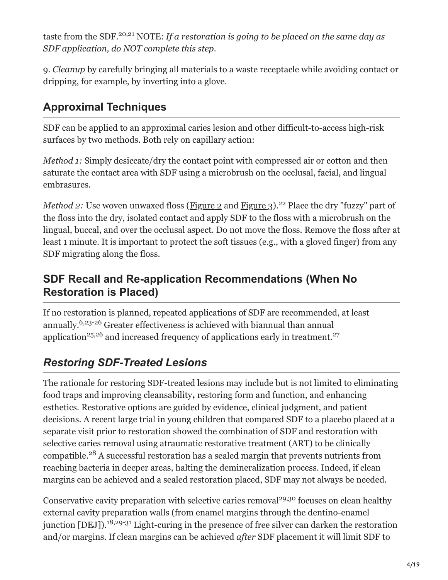taste from the SDF.<sup>20,21</sup> NOTE: If a restoration is going to be placed on the same day as *SDF application, do NOT complete this step.*

9. *Cleanup* by carefully bringing all materials to a waste receptacle while avoiding contact or dripping, for example, by inverting into a glove.

## **Approximal Techniques**

SDF can be applied to an approximal caries lesion and other difficult-to-access high-risk surfaces by two methods. Both rely on capillary action:

*Method 1:* Simply desiccate/dry the contact point with compressed air or cotton and then saturate the contact area with SDF using a microbrush on the occlusal, facial, and lingual embrasures.

*Method 2: Use woven unwaxed floss (Figure 2 and Figure 3).<sup>22</sup> Place the dry "fuzzy" part of* the floss into the dry, isolated contact and apply SDF to the floss with a microbrush on the lingual, buccal, and over the occlusal aspect. Do not move the floss. Remove the floss after at least 1 minute. It is important to protect the soft tissues (e.g., with a gloved finger) from any SDF migrating along the floss.

### **SDF Recall and Re-application Recommendations (When No Restoration is Placed)**

If no restoration is planned, repeated applications of SDF are recommended, at least annually.<sup>6,23-26</sup> Greater effectiveness is achieved with biannual than annual application<sup>25,26</sup> and increased frequency of applications early in treatment.<sup>27</sup>

## *Restoring SDF-Treated Lesions*

The rationale for restoring SDF-treated lesions may include but is not limited to eliminating food traps and improving cleansability**,** restoring form and function, and enhancing esthetics. Restorative options are guided by evidence, clinical judgment, and patient decisions. A recent large trial in young children that compared SDF to a placebo placed at a separate visit prior to restoration showed the combination of SDF and restoration with selective caries removal using atraumatic restorative treatment (ART) to be clinically compatible. $28$  A successful restoration has a sealed margin that prevents nutrients from reaching bacteria in deeper areas, halting the demineralization process. Indeed, if clean margins can be achieved and a sealed restoration placed, SDF may not always be needed.

Conservative cavity preparation with selective caries removal<sup>29,30</sup> focuses on clean healthy external cavity preparation walls (from enamel margins through the dentino-enamel junction [DEJ]).<sup>18,29-31</sup> Light-curing in the presence of free silver can darken the restoration and/or margins. If clean margins can be achieved *after* SDF placement it will limit SDF to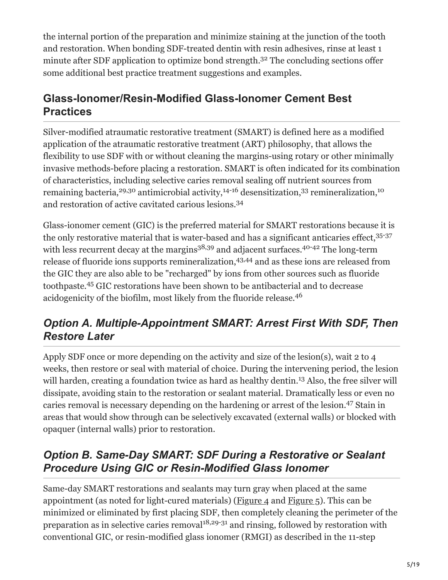the internal portion of the preparation and minimize staining at the junction of the tooth and restoration. When bonding SDF-treated dentin with resin adhesives, rinse at least 1 minute after SDF application to optimize bond strength.<sup>32</sup> The concluding sections offer some additional best practice treatment suggestions and examples.

## **Glass-Ionomer/Resin-Modified Glass-Ionomer Cement Best Practices**

Silver-modified atraumatic restorative treatment (SMART) is defined here as a modified application of the atraumatic restorative treatment (ART) philosophy, that allows the flexibility to use SDF with or without cleaning the margins-using rotary or other minimally invasive methods-before placing a restoration. SMART is often indicated for its combination of characteristics, including selective caries removal sealing off nutrient sources from remaining bacteria,<sup>29,30</sup> antimicrobial activity,<sup>14-16</sup> desensitization,<sup>33</sup> remineralization,<sup>10</sup> and restoration of active cavitated carious lesions. 34

Glass-ionomer cement (GIC) is the preferred material for SMART restorations because it is the only restorative material that is water-based and has a significant anticaries effect, 35-37 with less recurrent decay at the margins<sup>38,39</sup> and adjacent surfaces.<sup>40-42</sup> The long-term release of fluoride ions supports remineralization, 43,44 and as these ions are released from the GIC they are also able to be "recharged" by ions from other sources such as fluoride toothpaste.<sup>45</sup> GIC restorations have been shown to be antibacterial and to decrease acidogenicity of the biofilm, most likely from the fluoride release. 46

## *Option A. Multiple-Appointment SMART: Arrest First With SDF, Then Restore Later*

Apply SDF once or more depending on the activity and size of the lesion(s), wait 2 to 4 weeks, then restore or seal with material of choice. During the intervening period, the lesion will harden, creating a foundation twice as hard as healthy dentin.<sup>13</sup> Also, the free silver will dissipate, avoiding stain to the restoration or sealant material. Dramatically less or even no caries removal is necessary depending on the hardening or arrest of the lesion.<sup>47</sup> Stain in areas that would show through can be selectively excavated (external walls) or blocked with opaquer (internal walls) prior to restoration.

## *Option B. Same-Day SMART: SDF During a Restorative or Sealant Procedure Using GIC or Resin-Modified Glass Ionomer*

Same-day SMART restorations and sealants may turn gray when placed at the same appointment (as noted for light-cured materials) (Figure 4 and Figure 5). This can be minimized or eliminated by first placing SDF, then completely cleaning the perimeter of the preparation as in selective caries removal $1^{18,29-31}$  and rinsing, followed by restoration with conventional GIC, or resin-modified glass ionomer (RMGI) as described in the 11-step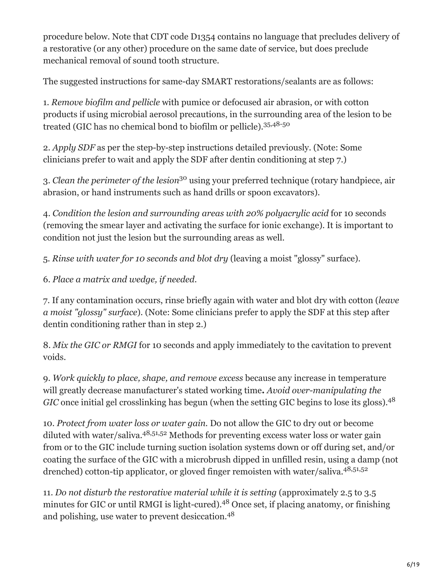procedure below. Note that CDT code D1354 contains no language that precludes delivery of a restorative (or any other) procedure on the same date of service, but does preclude mechanical removal of sound tooth structure.

The suggested instructions for same-day SMART restorations/sealants are as follows:

1. *Remove biofilm and pellicle* with pumice or defocused air abrasion, or with cotton products if using microbial aerosol precautions, in the surrounding area of the lesion to be treated (GIC has no chemical bond to biofilm or pellicle). 35,48-50

2. *Apply SDF* as per the step-by-step instructions detailed previously. (Note: Some clinicians prefer to wait and apply the SDF after dentin conditioning at step 7.)

3. *Clean the perimeter of the lesion*<sup>30</sup> using your preferred technique (rotary handpiece, air abrasion, or hand instruments such as hand drills or spoon excavators).

4. *Condition the lesion and surrounding areas with 20% polyacrylic acid* for 10 seconds (removing the smear layer and activating the surface for ionic exchange). It is important to condition not just the lesion but the surrounding areas as well.

5. *Rinse with water for 10 seconds and blot dry* (leaving a moist "glossy" surface).

6. *Place a matrix and wedge, if needed.*

7. If any contamination occurs, rinse briefly again with water and blot dry with cotton (*leave a moist "glossy" surface*). (Note: Some clinicians prefer to apply the SDF at this step after dentin conditioning rather than in step 2.)

8. *Mix the GIC or RMGI* for 10 seconds and apply immediately to the cavitation to prevent voids.

9. *Work quickly to place, shape, and remove excess* because any increase in temperature will greatly decrease manufacturer's stated working time**.** *Avoid over-manipulating the* GIC once initial gel crosslinking has begun (when the setting GIC begins to lose its gloss).<sup>48</sup>

10. *Protect from water loss or water gain.* Do not allow the GIC to dry out or become diluted with water/saliva.<sup>48,51,52</sup> Methods for preventing excess water loss or water gain from or to the GIC include turning suction isolation systems down or off during set, and/or coating the surface of the GIC with a microbrush dipped in unfilled resin, using a damp (not drenched) cotton-tip applicator, or gloved finger remoisten with water/saliva.<sup>48,51,52</sup>

11. *Do not disturb the restorative material while it is setting* (approximately 2.5 to 3.5 minutes for GIC or until RMGI is light-cured).<sup>48</sup> Once set, if placing anatomy, or finishing and polishing, use water to prevent desiccation. 48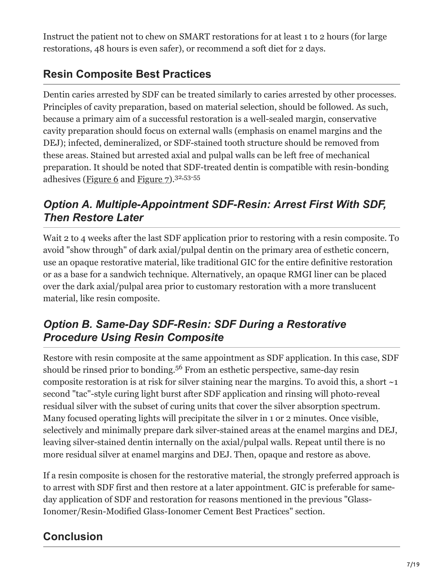Instruct the patient not to chew on SMART restorations for at least 1 to 2 hours (for large restorations, 48 hours is even safer), or recommend a soft diet for 2 days.

## **Resin Composite Best Practices**

Dentin caries arrested by SDF can be treated similarly to caries arrested by other processes. Principles of cavity preparation, based on material selection, should be followed. As such, because a primary aim of a successful restoration is a well-sealed margin, conservative cavity preparation should focus on external walls (emphasis on enamel margins and the DEJ); infected, demineralized, or SDF-stained tooth structure should be removed from these areas. Stained but arrested axial and pulpal walls can be left free of mechanical preparation. It should be noted that SDF-treated dentin is compatible with resin-bonding adhesives (Figure 6 and Figure 7).<sup>32,53-55</sup>

## *Option A. Multiple-Appointment SDF-Resin: Arrest First With SDF, Then Restore Later*

Wait 2 to 4 weeks after the last SDF application prior to restoring with a resin composite. To avoid "show through" of dark axial/pulpal dentin on the primary area of esthetic concern, use an opaque restorative material, like traditional GIC for the entire definitive restoration or as a base for a sandwich technique. Alternatively, an opaque RMGI liner can be placed over the dark axial/pulpal area prior to customary restoration with a more translucent material, like resin composite.

### *Option B. Same-Day SDF-Resin: SDF During a Restorative Procedure Using Resin Composite*

Restore with resin composite at the same appointment as SDF application. In this case, SDF should be rinsed prior to bonding.<sup>56</sup> From an esthetic perspective, same-day resin composite restoration is at risk for silver staining near the margins. To avoid this, a short  $\sim$ 1 second "tac"-style curing light burst after SDF application and rinsing will photo-reveal residual silver with the subset of curing units that cover the silver absorption spectrum. Many focused operating lights will precipitate the silver in 1 or 2 minutes. Once visible, selectively and minimally prepare dark silver-stained areas at the enamel margins and DEJ, leaving silver-stained dentin internally on the axial/pulpal walls. Repeat until there is no more residual silver at enamel margins and DEJ. Then, opaque and restore as above.

If a resin composite is chosen for the restorative material, the strongly preferred approach is to arrest with SDF first and then restore at a later appointment. GIC is preferable for sameday application of SDF and restoration for reasons mentioned in the previous "Glass-Ionomer/Resin-Modified Glass-Ionomer Cement Best Practices" section.

# **Conclusion**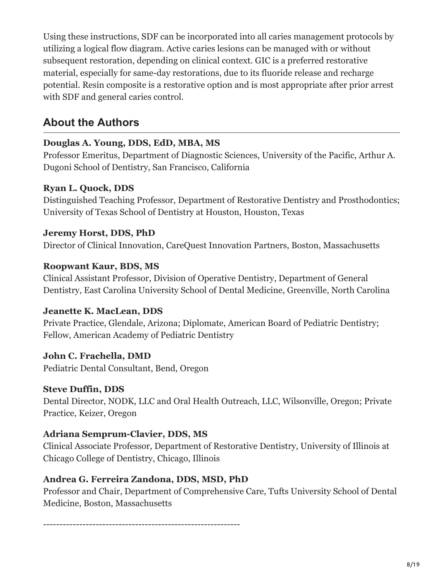Using these instructions, SDF can be incorporated into all caries management protocols by utilizing a logical flow diagram. Active caries lesions can be managed with or without subsequent restoration, depending on clinical context. GIC is a preferred restorative material, especially for same-day restorations, due to its fluoride release and recharge potential. Resin composite is a restorative option and is most appropriate after prior arrest with SDF and general caries control.

### **About the Authors**

#### **Douglas A. Young, DDS, EdD, MBA, MS**

Professor Emeritus, Department of Diagnostic Sciences, University of the Pacific, Arthur A. Dugoni School of Dentistry, San Francisco, California

#### **Ryan L. Quock, DDS**

Distinguished Teaching Professor, Department of Restorative Dentistry and Prosthodontics; University of Texas School of Dentistry at Houston, Houston, Texas

#### **Jeremy Horst, DDS, PhD**

Director of Clinical Innovation, CareQuest Innovation Partners, Boston, Massachusetts

#### **Roopwant Kaur, BDS, MS**

Clinical Assistant Professor, Division of Operative Dentistry, Department of General Dentistry, East Carolina University School of Dental Medicine, Greenville, North Carolina

#### **Jeanette K. MacLean, DDS**

Private Practice, Glendale, Arizona; Diplomate, American Board of Pediatric Dentistry; Fellow, American Academy of Pediatric Dentistry

#### **John C. Frachella, DMD**

Pediatric Dental Consultant, Bend, Oregon

#### **Steve Duffin, DDS**

Dental Director, NODK, LLC and Oral Health Outreach, LLC, Wilsonville, Oregon; Private Practice, Keizer, Oregon

#### **Adriana Semprum-Clavier, DDS, MS**

Clinical Associate Professor, Department of Restorative Dentistry, University of Illinois at Chicago College of Dentistry, Chicago, Illinois

#### **Andrea G. Ferreira Zandona, DDS, MSD, PhD**

Professor and Chair, Department of Comprehensive Care, Tufts University School of Dental Medicine, Boston, Massachusetts

------------------------------------------------------------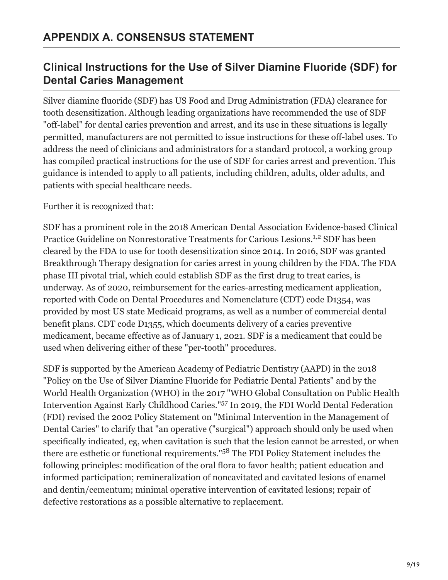### **Clinical Instructions for the Use of Silver Diamine Fluoride (SDF) for Dental Caries Management**

Silver diamine fluoride (SDF) has US Food and Drug Administration (FDA) clearance for tooth desensitization. Although leading organizations have recommended the use of SDF "off-label" for dental caries prevention and arrest, and its use in these situations is legally permitted, manufacturers are not permitted to issue instructions for these off-label uses. To address the need of clinicians and administrators for a standard protocol, a working group has compiled practical instructions for the use of SDF for caries arrest and prevention. This guidance is intended to apply to all patients, including children, adults, older adults, and patients with special healthcare needs.

Further it is recognized that:

SDF has a prominent role in the 2018 American Dental Association Evidence-based Clinical Practice Guideline on Nonrestorative Treatments for Carious Lesions.<sup>1,2</sup> SDF has been cleared by the FDA to use for tooth desensitization since 2014. In 2016, SDF was granted Breakthrough Therapy designation for caries arrest in young children by the FDA. The FDA phase III pivotal trial, which could establish SDF as the first drug to treat caries, is underway. As of 2020, reimbursement for the caries-arresting medicament application, reported with Code on Dental Procedures and Nomenclature (CDT) code D1354, was provided by most US state Medicaid programs, as well as a number of commercial dental benefit plans. CDT code D1355, which documents delivery of a caries preventive medicament, became effective as of January 1, 2021. SDF is a medicament that could be used when delivering either of these "per-tooth" procedures.

SDF is supported by the American Academy of Pediatric Dentistry (AAPD) in the 2018 "Policy on the Use of Silver Diamine Fluoride for Pediatric Dental Patients" and by the World Health Organization (WHO) in the 2017 "WHO Global Consultation on Public Health Intervention Against Early Childhood Caries."<sup>57</sup> In 2019, the FDI World Dental Federation (FDI) revised the 2002 Policy Statement on "Minimal Intervention in the Management of Dental Caries" to clarify that "an operative ("surgical") approach should only be used when specifically indicated, eg, when cavitation is such that the lesion cannot be arrested, or when there are esthetic or functional requirements."<sup>58</sup> The FDI Policy Statement includes the following principles: modification of the oral flora to favor health; patient education and informed participation; remineralization of noncavitated and cavitated lesions of enamel and dentin/cementum; minimal operative intervention of cavitated lesions; repair of defective restorations as a possible alternative to replacement.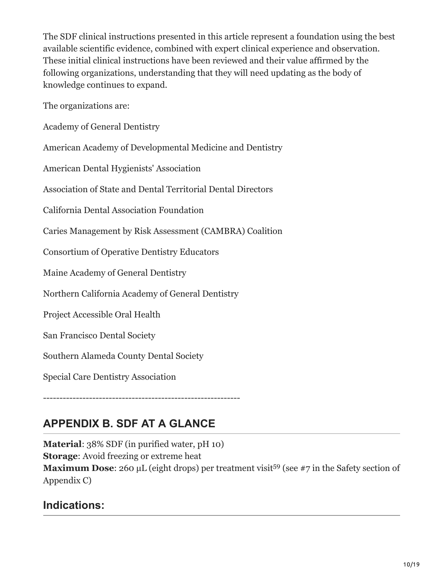The SDF clinical instructions presented in this article represent a foundation using the best available scientific evidence, combined with expert clinical experience and observation. These initial clinical instructions have been reviewed and their value affirmed by the following organizations, understanding that they will need updating as the body of knowledge continues to expand.

The organizations are:

Academy of General Dentistry

American Academy of Developmental Medicine and Dentistry

American Dental Hygienists' Association

Association of State and Dental Territorial Dental Directors

California Dental Association Foundation

Caries Management by Risk Assessment (CAMBRA) Coalition

Consortium of Operative Dentistry Educators

Maine Academy of General Dentistry

Northern California Academy of General Dentistry

Project Accessible Oral Health

San Francisco Dental Society

Southern Alameda County Dental Society

Special Care Dentistry Association

------------------------------------------------------------

# **APPENDIX B. SDF AT A GLANCE**

**Material**: 38% SDF (in purified water, pH 10) **Storage**: Avoid freezing or extreme heat **Maximum Dose:** 260 μL (eight drops) per treatment visit<sup>59</sup> (see #7 in the Safety section of Appendix C)

### **Indications:**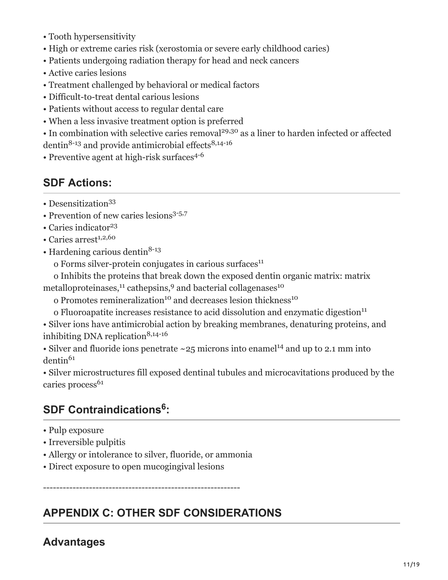- Tooth hypersensitivity
- High or extreme caries risk (xerostomia or severe early childhood caries)
- Patients undergoing radiation therapy for head and neck cancers
- Active caries lesions
- Treatment challenged by behavioral or medical factors
- Difficult-to-treat dental carious lesions
- Patients without access to regular dental care
- When a less invasive treatment option is preferred
- $\bullet$  In combination with selective caries removal<sup>29,30</sup> as a liner to harden infected or affected dentin<sup>8-13</sup> and provide antimicrobial effects<sup>8,14-16</sup>
- Preventive agent at high-risk surfaces<sup>4-6</sup>

### **SDF Actions:**

- Desensitization 33
- Prevention of new caries lesions 3-5,7
- Caries indicator 23
- Caries arrest 1,2,60
- Hardening carious dentin<sup>8-13</sup>
- o Forms silver-protein conjugates in carious surfaces 11
- o Inhibits the proteins that break down the exposed dentin organic matrix: matrix
- metalloproteinases,<sup>11</sup> cathepsins,<sup>9</sup> and bacterial collagenases<sup>10</sup>
- o Promotes remineralization<sup>10</sup> and decreases lesion thickness<sup>10</sup>
- o Fluoroapatite increases resistance to acid dissolution and enzymatic digestion 11

• Silver ions have antimicrobial action by breaking membranes, denaturing proteins, and inhibiting DNA replication 8,14-16

• Silver and fluoride ions penetrate  $\sim$  25 microns into enamel<sup>14</sup> and up to 2.1 mm into dentin 61

• Silver microstructures fill exposed dentinal tubules and microcavitations produced by the caries process 61

## **SDF Contraindications : 6**

- Pulp exposure
- Irreversible pulpitis
- Allergy or intolerance to silver, fluoride, or ammonia
- Direct exposure to open mucogingival lesions

------------------------------------------------------------

## **APPENDIX C: OTHER SDF CONSIDERATIONS**

### **Advantages**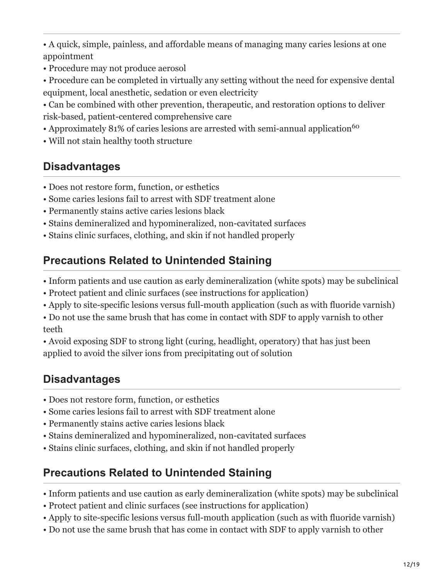• A quick, simple, painless, and affordable means of managing many caries lesions at one appointment

- Procedure may not produce aerosol
- Procedure can be completed in virtually any setting without the need for expensive dental equipment, local anesthetic, sedation or even electricity
- Can be combined with other prevention, therapeutic, and restoration options to deliver risk-based, patient-centered comprehensive care
- Approximately 81% of caries lesions are arrested with semi-annual application<sup>60</sup>
- Will not stain healthy tooth structure

# **Disadvantages**

- Does not restore form, function, or esthetics
- Some caries lesions fail to arrest with SDF treatment alone
- Permanently stains active caries lesions black
- Stains demineralized and hypomineralized, non-cavitated surfaces
- Stains clinic surfaces, clothing, and skin if not handled properly

## **Precautions Related to Unintended Staining**

- Inform patients and use caution as early demineralization (white spots) may be subclinical
- Protect patient and clinic surfaces (see instructions for application)
- Apply to site-specific lesions versus full-mouth application (such as with fluoride varnish)
- Do not use the same brush that has come in contact with SDF to apply varnish to other teeth

• Avoid exposing SDF to strong light (curing, headlight, operatory) that has just been applied to avoid the silver ions from precipitating out of solution

## **Disadvantages**

- Does not restore form, function, or esthetics
- Some caries lesions fail to arrest with SDF treatment alone
- Permanently stains active caries lesions black
- Stains demineralized and hypomineralized, non-cavitated surfaces
- Stains clinic surfaces, clothing, and skin if not handled properly

## **Precautions Related to Unintended Staining**

- Inform patients and use caution as early demineralization (white spots) may be subclinical
- Protect patient and clinic surfaces (see instructions for application)
- Apply to site-specific lesions versus full-mouth application (such as with fluoride varnish)
- Do not use the same brush that has come in contact with SDF to apply varnish to other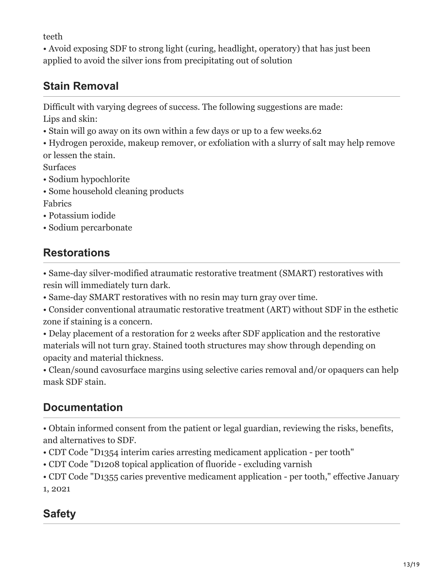teeth

• Avoid exposing SDF to strong light (curing, headlight, operatory) that has just been applied to avoid the silver ions from precipitating out of solution

# **Stain Removal**

Difficult with varying degrees of success. The following suggestions are made: Lips and skin:

- Stain will go away on its own within a few days or up to a few weeks.62
- Hydrogen peroxide, makeup remover, or exfoliation with a slurry of salt may help remove or lessen the stain.

Surfaces

- Sodium hypochlorite
- Some household cleaning products
- Fabrics
- Potassium iodide
- Sodium percarbonate

# **Restorations**

• Same-day silver-modified atraumatic restorative treatment (SMART) restoratives with resin will immediately turn dark.

• Same-day SMART restoratives with no resin may turn gray over time.

• Consider conventional atraumatic restorative treatment (ART) without SDF in the esthetic zone if staining is a concern.

• Delay placement of a restoration for 2 weeks after SDF application and the restorative materials will not turn gray. Stained tooth structures may show through depending on opacity and material thickness.

• Clean/sound cavosurface margins using selective caries removal and/or opaquers can help mask SDF stain.

# **Documentation**

• Obtain informed consent from the patient or legal guardian, reviewing the risks, benefits, and alternatives to SDF.

- CDT Code "D1354 interim caries arresting medicament application per tooth"
- CDT Code "D1208 topical application of fluoride excluding varnish

• CDT Code "D1355 caries preventive medicament application - per tooth," effective January 1, 2021

# **Safety**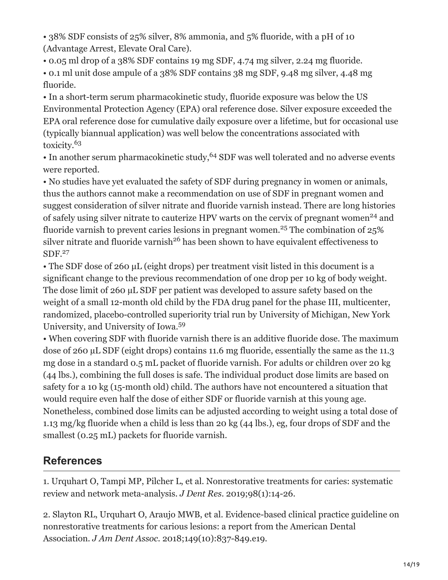• 38% SDF consists of 25% silver, 8% ammonia, and 5% fluoride, with a pH of 10 (Advantage Arrest, Elevate Oral Care).

• 0.05 ml drop of a 38% SDF contains 19 mg SDF, 4.74 mg silver, 2.24 mg fluoride.

• 0.1 ml unit dose ampule of a 38% SDF contains 38 mg SDF, 9.48 mg silver, 4.48 mg fluoride.

• In a short-term serum pharmacokinetic study, fluoride exposure was below the US Environmental Protection Agency (EPA) oral reference dose. Silver exposure exceeded the EPA oral reference dose for cumulative daily exposure over a lifetime, but for occasional use (typically biannual application) was well below the concentrations associated with toxicity. 63

• In another serum pharmacokinetic study, <sup>64</sup> SDF was well tolerated and no adverse events were reported.

• No studies have yet evaluated the safety of SDF during pregnancy in women or animals, thus the authors cannot make a recommendation on use of SDF in pregnant women and suggest consideration of silver nitrate and fluoride varnish instead. There are long histories of safely using silver nitrate to cauterize HPV warts on the cervix of pregnant women<sup>24</sup> and fluoride varnish to prevent caries lesions in pregnant women.<sup>25</sup> The combination of  $25\%$ silver nitrate and fluoride varnish<sup>26</sup> has been shown to have equivalent effectiveness to SDF. 27

• The SDF dose of 260 μL (eight drops) per treatment visit listed in this document is a significant change to the previous recommendation of one drop per 10 kg of body weight. The dose limit of 260 µL SDF per patient was developed to assure safety based on the weight of a small 12-month old child by the FDA drug panel for the phase III, multicenter, randomized, placebo-controlled superiority trial run by University of Michigan, New York University, and University of Iowa. 59

• When covering SDF with fluoride varnish there is an additive fluoride dose. The maximum dose of 260 µL SDF (eight drops) contains 11.6 mg fluoride, essentially the same as the 11.3 mg dose in a standard 0.5 mL packet of fluoride varnish. For adults or children over 20 kg (44 lbs.), combining the full doses is safe. The individual product dose limits are based on safety for a 10 kg (15-month old) child. The authors have not encountered a situation that would require even half the dose of either SDF or fluoride varnish at this young age. Nonetheless, combined dose limits can be adjusted according to weight using a total dose of 1.13 mg/kg fluoride when a child is less than 20 kg (44 lbs.), eg, four drops of SDF and the smallest (0.25 mL) packets for fluoride varnish.

## **References**

1. Urquhart O, Tampi MP, Pilcher L, et al. Nonrestorative treatments for caries: systematic review and network meta-analysis. *J Dent Res*. 2019;98(1):14-26.

2. Slayton RL, Urquhart O, Araujo MWB, et al. Evidence-based clinical practice guideline on nonrestorative treatments for carious lesions: a report from the American Dental Association. *J Am Dent Assoc*. 2018;149(10):837-849.e19.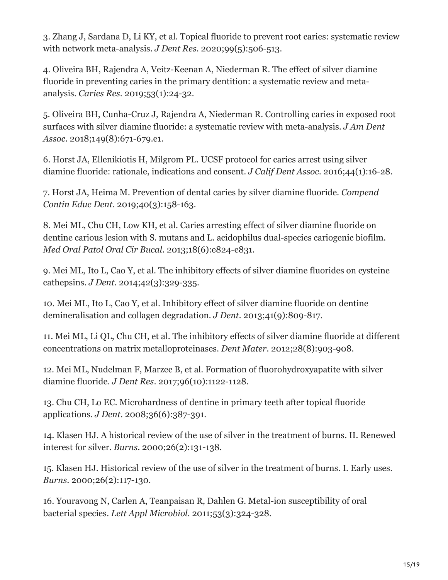3. Zhang J, Sardana D, Li KY, et al. Topical fluoride to prevent root caries: systematic review with network meta-analysis. *J Dent Res*. 2020;99(5):506-513.

4. Oliveira BH, Rajendra A, Veitz-Keenan A, Niederman R. The effect of silver diamine fluoride in preventing caries in the primary dentition: a systematic review and metaanalysis. *Caries Res*. 2019;53(1):24-32.

5. Oliveira BH, Cunha-Cruz J, Rajendra A, Niederman R. Controlling caries in exposed root surfaces with silver diamine fluoride: a systematic review with meta-analysis. *J Am Dent Assoc*. 2018;149(8):671-679.e1.

6. Horst JA, Ellenikiotis H, Milgrom PL. UCSF protocol for caries arrest using silver diamine fluoride: rationale, indications and consent. *J Calif Dent Assoc*. 2016;44(1):16-28.

7. Horst JA, Heima M. Prevention of dental caries by silver diamine fluoride. *Compend Contin Educ Dent*. 2019;40(3):158-163.

8. Mei ML, Chu CH, Low KH, et al. Caries arresting effect of silver diamine fluoride on dentine carious lesion with S. mutans and L. acidophilus dual-species cariogenic biofilm. *Med Oral Patol Oral Cir Bucal*. 2013;18(6):e824-e831.

9. Mei ML, Ito L, Cao Y, et al. The inhibitory effects of silver diamine fluorides on cysteine cathepsins. *J Dent*. 2014;42(3):329-335.

10. Mei ML, Ito L, Cao Y, et al. Inhibitory effect of silver diamine fluoride on dentine demineralisation and collagen degradation. *J Dent*. 2013;41(9):809-817.

11. Mei ML, Li QL, Chu CH, et al. The inhibitory effects of silver diamine fluoride at different concentrations on matrix metalloproteinases. *Dent Mater*. 2012;28(8):903-908.

12. Mei ML, Nudelman F, Marzec B, et al. Formation of fluorohydroxyapatite with silver diamine fluoride. *J Dent Res*. 2017;96(10):1122-1128.

13. Chu CH, Lo EC. Microhardness of dentine in primary teeth after topical fluoride applications. *J Dent*. 2008;36(6):387-391.

14. Klasen HJ. A historical review of the use of silver in the treatment of burns. II. Renewed interest for silver. *Burns*. 2000;26(2):131-138.

15. Klasen HJ. Historical review of the use of silver in the treatment of burns. I. Early uses. *Burns*. 2000;26(2):117-130.

16. Youravong N, Carlen A, Teanpaisan R, Dahlen G. Metal-ion susceptibility of oral bacterial species. *Lett Appl Microbiol*. 2011;53(3):324-328.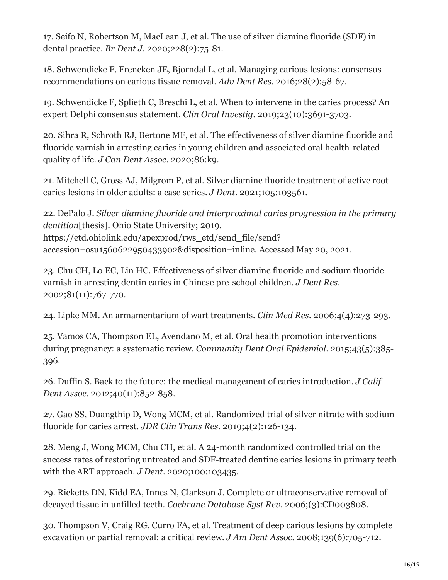17. Seifo N, Robertson M, MacLean J, et al. The use of silver diamine fluoride (SDF) in dental practice. *Br Dent J*. 2020;228(2):75-81.

18. Schwendicke F, Frencken JE, Bjorndal L, et al. Managing carious lesions: consensus recommendations on carious tissue removal. *Adv Dent Res*. 2016;28(2):58-67.

19. Schwendicke F, Splieth C, Breschi L, et al. When to intervene in the caries process? An expert Delphi consensus statement. *Clin Oral Investig*. 2019;23(10):3691-3703.

20. Sihra R, Schroth RJ, Bertone MF, et al. The effectiveness of silver diamine fluoride and fluoride varnish in arresting caries in young children and associated oral health-related quality of life. *J Can Dent Assoc*. 2020;86:k9.

21. Mitchell C, Gross AJ, Milgrom P, et al. Silver diamine fluoride treatment of active root caries lesions in older adults: a case series. *J Dent*. 2021;105:103561.

22. DePalo J. *Silver diamine fluoride and interproximal caries progression in the primary dentition*[thesis]. Ohio State University; 2019. https://etd.ohiolink.edu/apexprod/rws\_etd/send\_file/send? accession=osu1560622950433902&disposition=inline. Accessed May 20, 2021.

23. Chu CH, Lo EC, Lin HC. Effectiveness of silver diamine fluoride and sodium fluoride varnish in arresting dentin caries in Chinese pre-school children. *J Dent Res*. 2002;81(11):767-770.

24. Lipke MM. An armamentarium of wart treatments. *Clin Med Res*. 2006;4(4):273-293.

25. Vamos CA, Thompson EL, Avendano M, et al. Oral health promotion interventions during pregnancy: a systematic review. *Community Dent Oral Epidemiol*. 2015;43(5):385- 396.

26. Duffin S. Back to the future: the medical management of caries introduction. *J Calif Dent Assoc*. 2012;40(11):852-858.

27. Gao SS, Duangthip D, Wong MCM, et al. Randomized trial of silver nitrate with sodium fluoride for caries arrest. *JDR Clin Trans Res*. 2019;4(2):126-134.

28. Meng J, Wong MCM, Chu CH, et al. A 24-month randomized controlled trial on the success rates of restoring untreated and SDF-treated dentine caries lesions in primary teeth with the ART approach. *J Dent*. 2020;100:103435.

29. Ricketts DN, Kidd EA, Innes N, Clarkson J. Complete or ultraconservative removal of decayed tissue in unfilled teeth. *Cochrane Database Syst Rev*. 2006;(3):CD003808.

30. Thompson V, Craig RG, Curro FA, et al. Treatment of deep carious lesions by complete excavation or partial removal: a critical review. *J Am Dent Assoc*. 2008;139(6):705-712.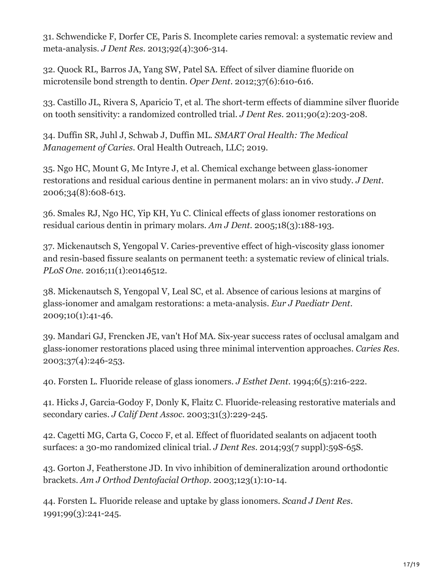31. Schwendicke F, Dorfer CE, Paris S. Incomplete caries removal: a systematic review and meta-analysis. *J Dent Res*. 2013;92(4):306-314.

32. Quock RL, Barros JA, Yang SW, Patel SA. Effect of silver diamine fluoride on microtensile bond strength to dentin. *Oper Dent*. 2012;37(6):610-616.

33. Castillo JL, Rivera S, Aparicio T, et al. The short-term effects of diammine silver fluoride on tooth sensitivity: a randomized controlled trial. *J Dent Res*. 2011;90(2):203-208.

34. Duffin SR, Juhl J, Schwab J, Duffin ML. *SMART Oral Health: The Medical Management of Caries*. Oral Health Outreach, LLC; 2019.

35. Ngo HC, Mount G, Mc Intyre J, et al. Chemical exchange between glass-ionomer restorations and residual carious dentine in permanent molars: an in vivo study. *J Dent*. 2006;34(8):608-613.

36. Smales RJ, Ngo HC, Yip KH, Yu C. Clinical effects of glass ionomer restorations on residual carious dentin in primary molars. *Am J Dent*. 2005;18(3):188-193.

37. Mickenautsch S, Yengopal V. Caries-preventive effect of high-viscosity glass ionomer and resin-based fissure sealants on permanent teeth: a systematic review of clinical trials. *PLoS One.* 2016;11(1):e0146512.

38. Mickenautsch S, Yengopal V, Leal SC, et al. Absence of carious lesions at margins of glass-ionomer and amalgam restorations: a meta-analysis. *Eur J Paediatr Dent*. 2009;10(1):41-46.

39. Mandari GJ, Frencken JE, van't Hof MA. Six-year success rates of occlusal amalgam and glass-ionomer restorations placed using three minimal intervention approaches. *Caries Res*. 2003;37(4):246-253.

40. Forsten L. Fluoride release of glass ionomers. *J Esthet Dent*. 1994;6(5):216-222.

41. Hicks J, Garcia-Godoy F, Donly K, Flaitz C. Fluoride-releasing restorative materials and secondary caries. *J Calif Dent Assoc*. 2003;31(3):229-245.

42. Cagetti MG, Carta G, Cocco F, et al. Effect of fluoridated sealants on adjacent tooth surfaces: a 30-mo randomized clinical trial. *J Dent Res*. 2014;93(7 suppl):59S-65S.

43. Gorton J, Featherstone JD. In vivo inhibition of demineralization around orthodontic brackets. *Am J Orthod Dentofacial Orthop*. 2003;123(1):10-14.

44. Forsten L. Fluoride release and uptake by glass ionomers. *Scand J Dent Res*. 1991;99(3):241-245.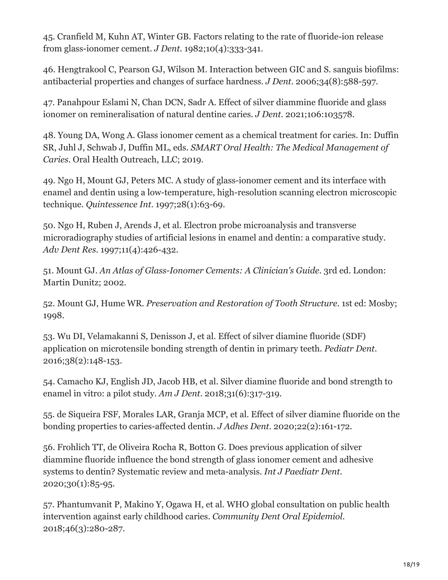45. Cranfield M, Kuhn AT, Winter GB. Factors relating to the rate of fluoride-ion release from glass-ionomer cement. *J Dent*. 1982;10(4):333-341.

46. Hengtrakool C, Pearson GJ, Wilson M. Interaction between GIC and S. sanguis biofilms: antibacterial properties and changes of surface hardness. *J Dent*. 2006;34(8):588-597.

47. Panahpour Eslami N, Chan DCN, Sadr A. Effect of silver diammine fluoride and glass ionomer on remineralisation of natural dentine caries. *J Dent*. 2021;106:103578.

48. Young DA, Wong A. Glass ionomer cement as a chemical treatment for caries. In: Duffin SR, Juhl J, Schwab J, Duffin ML, eds. *SMART Oral Health: The Medical Management of Caries*. Oral Health Outreach, LLC; 2019.

49. Ngo H, Mount GJ, Peters MC. A study of glass-ionomer cement and its interface with enamel and dentin using a low-temperature, high-resolution scanning electron microscopic technique. *Quintessence Int*. 1997;28(1):63-69.

50. Ngo H, Ruben J, Arends J, et al. Electron probe microanalysis and transverse microradiography studies of artificial lesions in enamel and dentin: a comparative study. *Adv Dent Res*. 1997;11(4):426-432.

51. Mount GJ. *An Atlas of Glass-Ionomer Cements: A Clinician's Guide*. 3rd ed. London: Martin Dunitz; 2002.

52. Mount GJ, Hume WR. *Preservation and Restoration of Tooth Structure*. 1st ed: Mosby; 1998.

53. Wu DI, Velamakanni S, Denisson J, et al. Effect of silver diamine fluoride (SDF) application on microtensile bonding strength of dentin in primary teeth. *Pediatr Dent*. 2016;38(2):148-153.

54. Camacho KJ, English JD, Jacob HB, et al. Silver diamine fluoride and bond strength to enamel in vitro: a pilot study. *Am J Dent*. 2018;31(6):317-319.

55. de Siqueira FSF, Morales LAR, Granja MCP, et al. Effect of silver diamine fluoride on the bonding properties to caries-affected dentin. *J Adhes Dent*. 2020;22(2):161-172.

56. Frohlich TT, de Oliveira Rocha R, Botton G. Does previous application of silver diammine fluoride influence the bond strength of glass ionomer cement and adhesive systems to dentin? Systematic review and meta-analysis. *Int J Paediatr Dent*. 2020;30(1):85-95.

57. Phantumvanit P, Makino Y, Ogawa H, et al. WHO global consultation on public health intervention against early childhood caries. *Community Dent Oral Epidemiol*. 2018;46(3):280-287.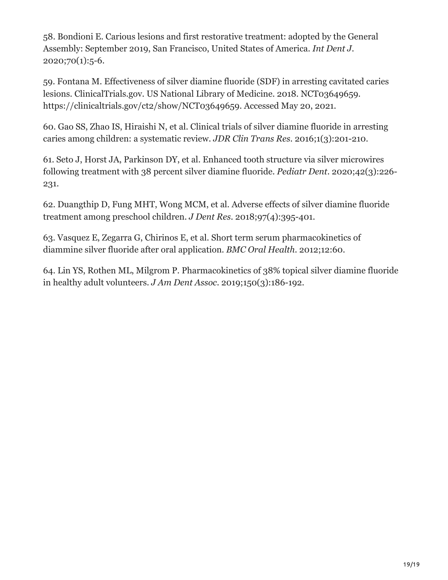58. Bondioni E. Carious lesions and first restorative treatment: adopted by the General Assembly: September 2019, San Francisco, United States of America. *Int Dent J*. 2020;70(1):5-6.

59. Fontana M. Effectiveness of silver diamine fluoride (SDF) in arresting cavitated caries lesions. ClinicalTrials.gov. US National Library of Medicine. 2018. NCT03649659. https://clinicaltrials.gov/ct2/show/NCT03649659. Accessed May 20, 2021.

60. Gao SS, Zhao IS, Hiraishi N, et al. Clinical trials of silver diamine fluoride in arresting caries among children: a systematic review. *JDR Clin Trans Res*. 2016;1(3):201-210.

61. Seto J, Horst JA, Parkinson DY, et al. Enhanced tooth structure via silver microwires following treatment with 38 percent silver diamine fluoride. *Pediatr Dent*. 2020;42(3):226- 231.

62. Duangthip D, Fung MHT, Wong MCM, et al. Adverse effects of silver diamine fluoride treatment among preschool children. *J Dent Res*. 2018;97(4):395-401.

63. Vasquez E, Zegarra G, Chirinos E, et al. Short term serum pharmacokinetics of diammine silver fluoride after oral application. *BMC Oral Health*. 2012;12:60.

64. Lin YS, Rothen ML, Milgrom P. Pharmacokinetics of 38% topical silver diamine fluoride in healthy adult volunteers. *J Am Dent Assoc*. 2019;150(3):186-192.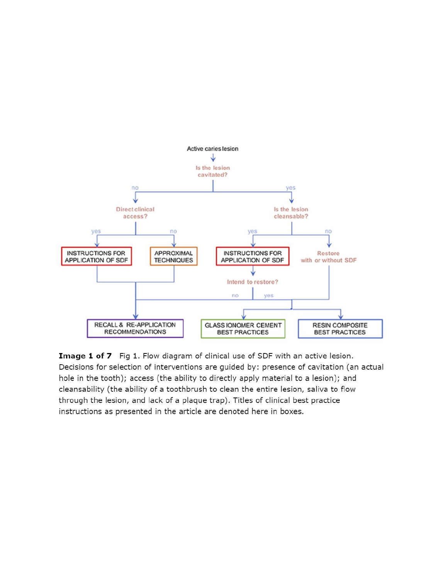

Image 1 of 7 Fig 1. Flow diagram of clinical use of SDF with an active lesion. Decisions for selection of interventions are guided by: presence of cavitation (an actual hole in the tooth); access (the ability to directly apply material to a lesion); and cleansability (the ability of a toothbrush to clean the entire lesion, saliva to flow through the lesion, and lack of a plaque trap). Titles of clinical best practice instructions as presented in the article are denoted here in boxes.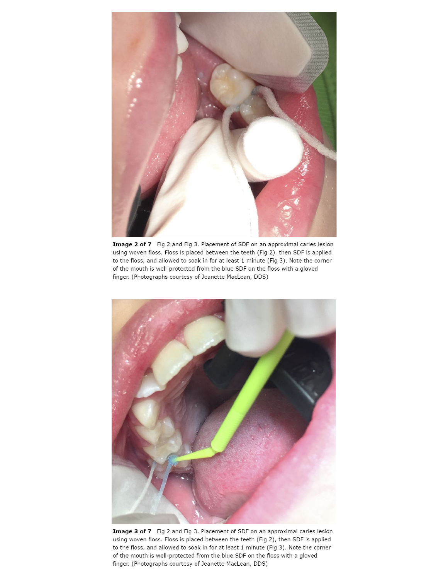

Image 2 of 7 Fig 2 and Fig 3. Placement of SDF on an approximal caries lesion using woven floss. Floss is placed between the teeth (Fig 2), then SDF is applied to the floss, and allowed to soak in for at least 1 minute (Fig 3). Note the corner of the mouth is well-protected from the blue SDF on the floss with a gloved finger. (Photographs courtesy of Jeanette MacLean, DDS)



Image 3 of 7 Fig 2 and Fig 3. Placement of SDF on an approximal caries lesion using woven floss. Floss is placed between the teeth (Fig 2), then SDF is applied to the floss, and allowed to soak in for at least 1 minute (Fig 3). Note the corner of the mouth is well-protected from the blue SDF on the floss with a gloved finger. (Photographs courtesy of Jeanette MacLean, DDS)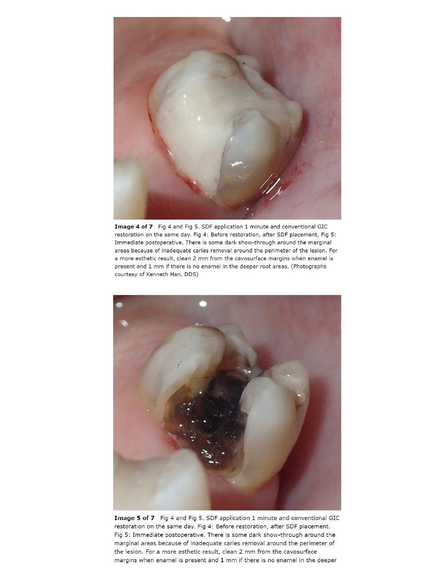

Image 4 of 7 Fig 4 and Fig 5. SDF application 1 minute and conventional GIC restoration on the same day. Fig 4: Before restoration, after SDF placement. Fig 5: Immediate postoperative. There is some dark show-through around the marginal areas because of inadequate caries removal around the perimeter of the lesion. For a more esthetic result, clean 2 mm from the cavosurface margins when enamel is present and 1 mm if there is no enamel in the deeper root areas. (Photographs courtesy of Kenneth Han, DDS)



Image 5 of 7 Fig 4 and Fig 5. SDF application 1 minute and conventional GIC restoration on the same day. Fig 4: Before restoration, after SDF placement. Fig 5: Immediate postoperative. There is some dark show-through around the marginal areas because of inadequate caries removal around the perimeter of the lesion. For a more esthetic result, clean 2 mm from the cavosurface margins when enamel is present and 1 mm if there is no enamel in the deeper